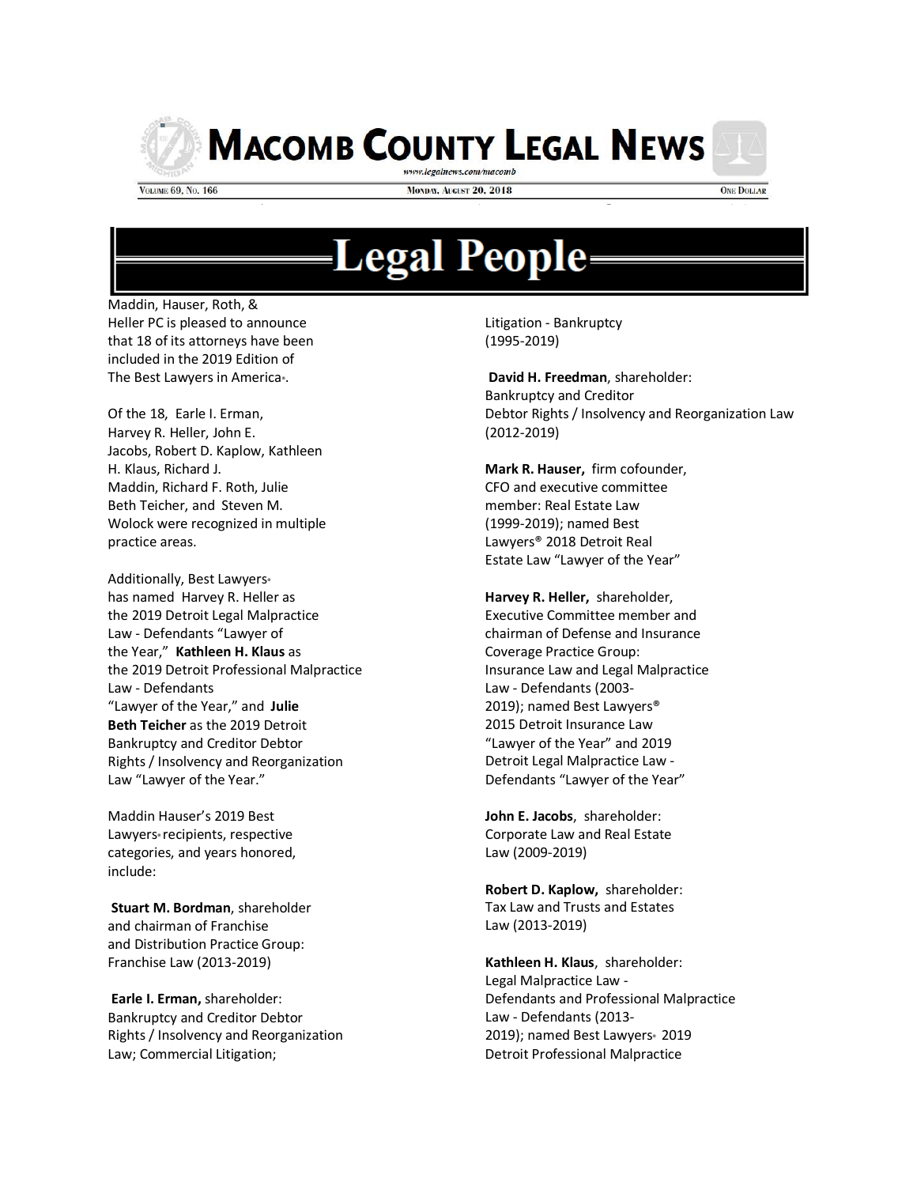

**MACOMB COUNTY LEGAL NEWS** 

**VOLUME 69, No. 166** 

**MONDAY, AUGUST 20, 2018** 

**ONE DOLLAR** 

## **Legal People:**

Maddin, Hauser, Roth, & Heller PC is pleased to announce that 18 of its attorneys have been included in the 2019 Edition of The Best Lawyers in America<sup>®</sup>.

Of the 18, Earle I. Erman, Harvey R. Heller, John E. Jacobs, Robert D. Kaplow, Kathleen H. Klaus, Richard J. Maddin, Richard F. Roth, Julie Beth Teicher, and Steven M. Wolock were recognized in multiple practice areas.

Additionally, Best Lawyers® has named Harvey R. Heller as the 2019 Detroit Legal Malpractice Law - Defendants "Lawyer of the Year," **Kathleen H. Klaus** as the 2019 Detroit Professional Malpractice Law - Defendants "Lawyer of the Year," and **Julie Beth Teicher** as the 2019 Detroit Bankruptcy and Creditor Debtor Rights / Insolvency and Reorganization Law "Lawyer of the Year."

Maddin Hauser's 2019 Best Lawyers<sup>®</sup> recipients, respective categories, and years honored, include:

**Stuart M. Bordman**, shareholder and chairman of Franchise and Distribution Practice Group: Franchise Law (2013-2019)

**Earle I. Erman,** shareholder: Bankruptcy and Creditor Debtor Rights / Insolvency and Reorganization Law; Commercial Litigation;

Litigation - Bankruptcy (1995-2019)

**David H. Freedman**, shareholder: Bankruptcy and Creditor Debtor Rights / Insolvency and Reorganization Law (2012-2019)

**Mark R. Hauser,** firm cofounder, CFO and executive committee member: Real Estate Law (1999-2019); named Best Lawyers® 2018 Detroit Real Estate Law "Lawyer of the Year"

**Harvey R. Heller,** shareholder, Executive Committee member and chairman of Defense and Insurance Coverage Practice Group: Insurance Law and Legal Malpractice Law - Defendants (2003- 2019); named Best Lawyers® 2015 Detroit Insurance Law "Lawyer of the Year" and 2019 Detroit Legal Malpractice Law - Defendants "Lawyer of the Year"

**John E. Jacobs**, shareholder: Corporate Law and Real Estate Law (2009-2019)

**Robert D. Kaplow,** shareholder: Tax Law and Trusts and Estates Law (2013-2019)

**Kathleen H. Klaus**, shareholder: Legal Malpractice Law - Defendants and Professional Malpractice Law - Defendants (2013- 2019); named Best Lawyers 2019 Detroit Professional Malpractice